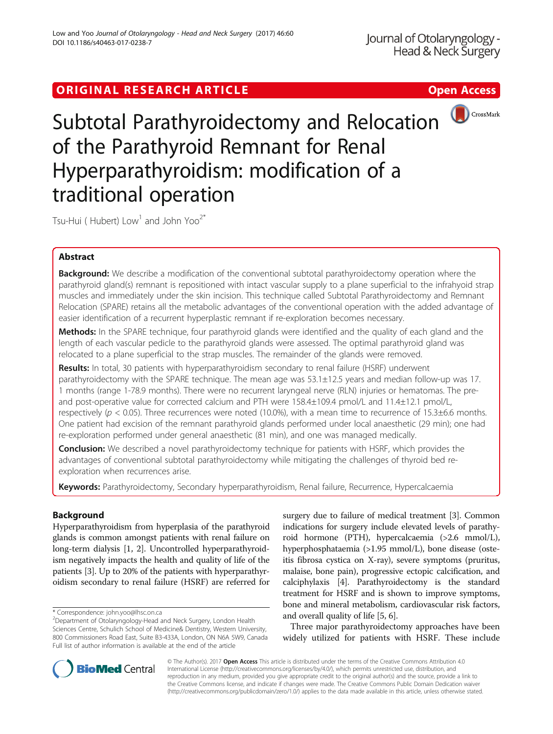# ORIGINAL RESEARCH ARTICLE **External of the Contract Contract Contract Contract Contract Contract Contract Contract Contract Contract Contract Contract Contract Contract Contract Contract Contract Contract Contract Contract**



Subtotal Parathyroidectomy and Relocation of the Parathyroid Remnant for Renal Hyperparathyroidism: modification of a traditional operation

Tsu-Hui ( Hubert)  $Low<sup>1</sup>$  and John Yoo<sup>2\*</sup>

## Abstract

Background: We describe a modification of the conventional subtotal parathyroidectomy operation where the parathyroid gland(s) remnant is repositioned with intact vascular supply to a plane superficial to the infrahyoid strap muscles and immediately under the skin incision. This technique called Subtotal Parathyroidectomy and Remnant Relocation (SPARE) retains all the metabolic advantages of the conventional operation with the added advantage of easier identification of a recurrent hyperplastic remnant if re-exploration becomes necessary.

Methods: In the SPARE technique, four parathyroid glands were identified and the quality of each gland and the length of each vascular pedicle to the parathyroid glands were assessed. The optimal parathyroid gland was relocated to a plane superficial to the strap muscles. The remainder of the glands were removed.

Results: In total, 30 patients with hyperparathyroidism secondary to renal failure (HSRF) underwent parathyroidectomy with the SPARE technique. The mean age was 53.1±12.5 years and median follow-up was 17. 1 months (range 1-78.9 months). There were no recurrent laryngeal nerve (RLN) injuries or hematomas. The preand post-operative value for corrected calcium and PTH were 158.4±109.4 pmol/L and 11.4±12.1 pmol/L, respectively ( $p < 0.05$ ). Three recurrences were noted (10.0%), with a mean time to recurrence of 15.3 $\pm$ 6.6 months. One patient had excision of the remnant parathyroid glands performed under local anaesthetic (29 min); one had re-exploration performed under general anaesthetic (81 min), and one was managed medically.

**Conclusion:** We described a novel parathyroidectomy technique for patients with HSRF, which provides the advantages of conventional subtotal parathyroidectomy while mitigating the challenges of thyroid bed reexploration when recurrences arise.

Keywords: Parathyroidectomy, Secondary hyperparathyroidism, Renal failure, Recurrence, Hypercalcaemia

## Background

Hyperparathyroidism from hyperplasia of the parathyroid glands is common amongst patients with renal failure on long-term dialysis [\[1](#page-5-0), [2](#page-5-0)]. Uncontrolled hyperparathyroidism negatively impacts the health and quality of life of the patients [[3\]](#page-5-0). Up to 20% of the patients with hyperparathyroidism secondary to renal failure (HSRF) are referred for

\* Correspondence: [john.yoo@lhsc.on.ca](mailto:john.yoo@lhsc.on.ca) <sup>2</sup>

surgery due to failure of medical treatment [\[3\]](#page-5-0). Common indications for surgery include elevated levels of parathyroid hormone (PTH), hypercalcaemia (>2.6 mmol/L), hyperphosphataemia (>1.95 mmol/L), bone disease (osteitis fibrosa cystica on X-ray), severe symptoms (pruritus, malaise, bone pain), progressive ectopic calcification, and calciphylaxis [\[4](#page-5-0)]. Parathyroidectomy is the standard treatment for HSRF and is shown to improve symptoms, bone and mineral metabolism, cardiovascular risk factors, and overall quality of life [\[5](#page-5-0), [6](#page-5-0)].

Three major parathyroidectomy approaches have been widely utilized for patients with HSRF. These include



© The Author(s). 2017 **Open Access** This article is distributed under the terms of the Creative Commons Attribution 4.0 International License [\(http://creativecommons.org/licenses/by/4.0/](http://creativecommons.org/licenses/by/4.0/)), which permits unrestricted use, distribution, and reproduction in any medium, provided you give appropriate credit to the original author(s) and the source, provide a link to the Creative Commons license, and indicate if changes were made. The Creative Commons Public Domain Dedication waiver [\(http://creativecommons.org/publicdomain/zero/1.0/](http://creativecommons.org/publicdomain/zero/1.0/)) applies to the data made available in this article, unless otherwise stated.

<sup>&</sup>lt;sup>2</sup>Department of Otolaryngology-Head and Neck Surgery, London Health Sciences Centre, Schulich School of Medicine& Dentistry, Western University, 800 Commissioners Road East, Suite B3-433A, London, ON N6A 5W9, Canada Full list of author information is available at the end of the article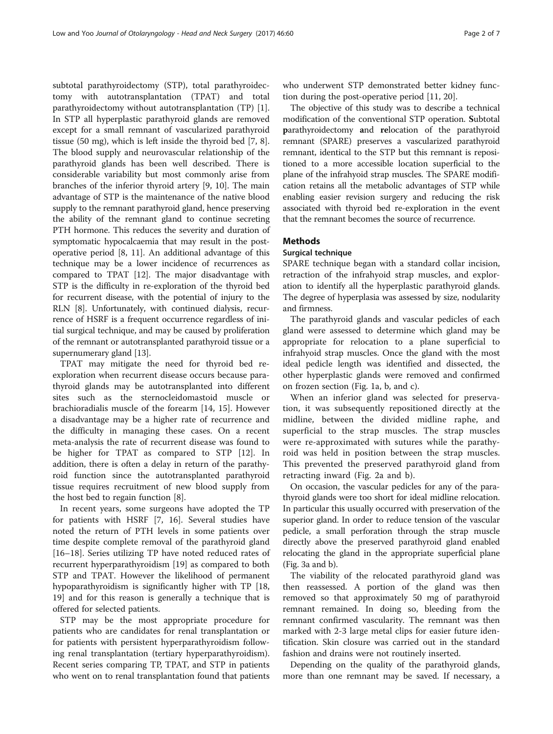subtotal parathyroidectomy (STP), total parathyroidectomy with autotransplantation (TPAT) and total parathyroidectomy without autotransplantation (TP) [\[1](#page-5-0)]. In STP all hyperplastic parathyroid glands are removed except for a small remnant of vascularized parathyroid tissue (50 mg), which is left inside the thyroid bed [\[7](#page-5-0), [8](#page-5-0)]. The blood supply and neurovascular relationship of the parathyroid glands has been well described. There is considerable variability but most commonly arise from branches of the inferior thyroid artery [\[9](#page-6-0), [10\]](#page-6-0). The main advantage of STP is the maintenance of the native blood supply to the remnant parathyroid gland, hence preserving the ability of the remnant gland to continue secreting PTH hormone. This reduces the severity and duration of symptomatic hypocalcaemia that may result in the postoperative period [\[8](#page-5-0), [11\]](#page-6-0). An additional advantage of this technique may be a lower incidence of recurrences as compared to TPAT [\[12\]](#page-6-0). The major disadvantage with STP is the difficulty in re-exploration of the thyroid bed for recurrent disease, with the potential of injury to the RLN [[8](#page-5-0)]. Unfortunately, with continued dialysis, recurrence of HSRF is a frequent occurrence regardless of initial surgical technique, and may be caused by proliferation of the remnant or autotransplanted parathyroid tissue or a supernumerary gland [[13](#page-6-0)].

TPAT may mitigate the need for thyroid bed reexploration when recurrent disease occurs because parathyroid glands may be autotransplanted into different sites such as the sternocleidomastoid muscle or brachioradialis muscle of the forearm [[14](#page-6-0), [15\]](#page-6-0). However a disadvantage may be a higher rate of recurrence and the difficulty in managing these cases. On a recent meta-analysis the rate of recurrent disease was found to be higher for TPAT as compared to STP [[12\]](#page-6-0). In addition, there is often a delay in return of the parathyroid function since the autotransplanted parathyroid tissue requires recruitment of new blood supply from the host bed to regain function [\[8\]](#page-5-0).

In recent years, some surgeons have adopted the TP for patients with HSRF [[7,](#page-5-0) [16\]](#page-6-0). Several studies have noted the return of PTH levels in some patients over time despite complete removal of the parathyroid gland [[16](#page-6-0)–[18](#page-6-0)]. Series utilizing TP have noted reduced rates of recurrent hyperparathyroidism [\[19\]](#page-6-0) as compared to both STP and TPAT. However the likelihood of permanent hypoparathyroidism is significantly higher with TP [[18](#page-6-0), [19\]](#page-6-0) and for this reason is generally a technique that is offered for selected patients.

STP may be the most appropriate procedure for patients who are candidates for renal transplantation or for patients with persistent hyperparathyroidism following renal transplantation (tertiary hyperparathyroidism). Recent series comparing TP, TPAT, and STP in patients who went on to renal transplantation found that patients who underwent STP demonstrated better kidney function during the post-operative period [[11, 20\]](#page-6-0).

The objective of this study was to describe a technical modification of the conventional STP operation. Subtotal parathyroidectomy and relocation of the parathyroid remnant (SPARE) preserves a vascularized parathyroid remnant, identical to the STP but this remnant is repositioned to a more accessible location superficial to the plane of the infrahyoid strap muscles. The SPARE modification retains all the metabolic advantages of STP while enabling easier revision surgery and reducing the risk associated with thyroid bed re-exploration in the event that the remnant becomes the source of recurrence.

## **Methods**

## Surgical technique

SPARE technique began with a standard collar incision, retraction of the infrahyoid strap muscles, and exploration to identify all the hyperplastic parathyroid glands. The degree of hyperplasia was assessed by size, nodularity and firmness.

The parathyroid glands and vascular pedicles of each gland were assessed to determine which gland may be appropriate for relocation to a plane superficial to infrahyoid strap muscles. Once the gland with the most ideal pedicle length was identified and dissected, the other hyperplastic glands were removed and confirmed on frozen section (Fig. [1a, b, and c\)](#page-2-0).

When an inferior gland was selected for preservation, it was subsequently repositioned directly at the midline, between the divided midline raphe, and superficial to the strap muscles. The strap muscles were re-approximated with sutures while the parathyroid was held in position between the strap muscles. This prevented the preserved parathyroid gland from retracting inward (Fig. [2a](#page-3-0) and [b\)](#page-3-0).

On occasion, the vascular pedicles for any of the parathyroid glands were too short for ideal midline relocation. In particular this usually occurred with preservation of the superior gland. In order to reduce tension of the vascular pedicle, a small perforation through the strap muscle directly above the preserved parathyroid gland enabled relocating the gland in the appropriate superficial plane (Fig. [3a](#page-3-0) and [b\)](#page-3-0).

The viability of the relocated parathyroid gland was then reassessed. A portion of the gland was then removed so that approximately 50 mg of parathyroid remnant remained. In doing so, bleeding from the remnant confirmed vascularity. The remnant was then marked with 2-3 large metal clips for easier future identification. Skin closure was carried out in the standard fashion and drains were not routinely inserted.

Depending on the quality of the parathyroid glands, more than one remnant may be saved. If necessary, a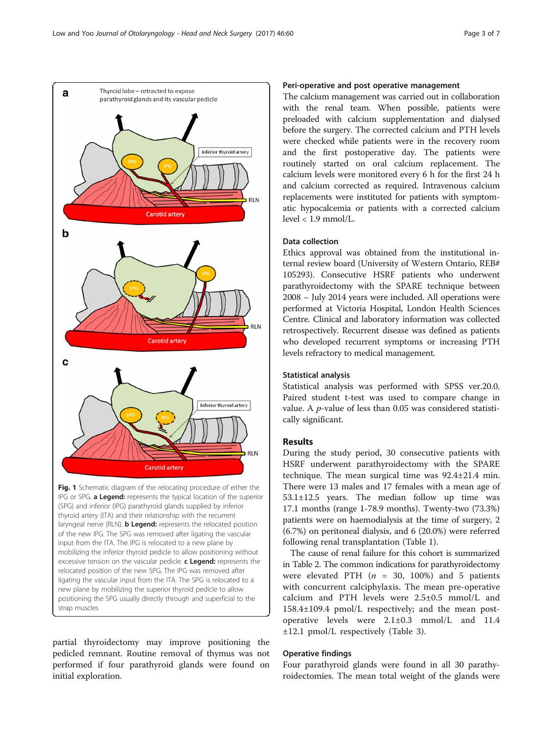<span id="page-2-0"></span>

IPG or SPG. a Legend: represents the typical location of the superior (SPG) and inferior (IPG) parathyroid glands supplied by inferior thyroid artery (ITA) and their relationship with the recurrent laryngeal nerve (RLN). **b Legend:** represents the relocated position of the new IPG. The SPG was removed after ligating the vascular input from the ITA. The IPG is relocated to a new plane by mobilizing the inferior thyroid pedicle to allow positioning without excessive tension on the vascular pedicle. c Legend: represents the relocated position of the new SPG. The IPG was removed after ligating the vascular input from the ITA. The SPG is relocated to a new plane by mobilizing the superior thyroid pedicle to allow positioning the SPG usually directly through and superficial to the strap muscles

partial thyroidectomy may improve positioning the pedicled remnant. Routine removal of thymus was not performed if four parathyroid glands were found on initial exploration.

### Peri-operative and post operative management

The calcium management was carried out in collaboration with the renal team. When possible, patients were preloaded with calcium supplementation and dialysed before the surgery. The corrected calcium and PTH levels were checked while patients were in the recovery room and the first postoperative day. The patients were routinely started on oral calcium replacement. The calcium levels were monitored every 6 h for the first 24 h and calcium corrected as required. Intravenous calcium replacements were instituted for patients with symptomatic hypocalcemia or patients with a corrected calcium level < 1.9 mmol/L.

## Data collection

Ethics approval was obtained from the institutional internal review board (University of Western Ontario, REB# 105293). Consecutive HSRF patients who underwent parathyroidectomy with the SPARE technique between 2008 – July 2014 years were included. All operations were performed at Victoria Hospital, London Health Sciences Centre. Clinical and laboratory information was collected retrospectively. Recurrent disease was defined as patients who developed recurrent symptoms or increasing PTH levels refractory to medical management.

## Statistical analysis

Statistical analysis was performed with SPSS ver.20.0. Paired student t-test was used to compare change in value. A p-value of less than 0.05 was considered statistically significant.

## Results

During the study period, 30 consecutive patients with HSRF underwent parathyroidectomy with the SPARE technique. The mean surgical time was 92.4±21.4 min. There were 13 males and 17 females with a mean age of 53.1±12.5 years. The median follow up time was 17.1 months (range 1-78.9 months). Twenty-two (73.3%) patients were on haemodialysis at the time of surgery, 2 (6.7%) on peritoneal dialysis, and 6 (20.0%) were referred following renal transplantation (Table [1\)](#page-4-0).

The cause of renal failure for this cohort is summarized in Table [2.](#page-4-0) The common indications for parathyroidectomy were elevated PTH  $(n = 30, 100%)$  and 5 patients with concurrent calciphylaxis. The mean pre-operative calcium and PTH levels were 2.5±0.5 mmol/L and 158.4±109.4 pmol/L respectively; and the mean postoperative levels were 2.1±0.3 mmol/L and 11.4 ±12.1 pmol/L respectively (Table [3\)](#page-4-0).

## Operative findings

Four parathyroid glands were found in all 30 parathyroidectomies. The mean total weight of the glands were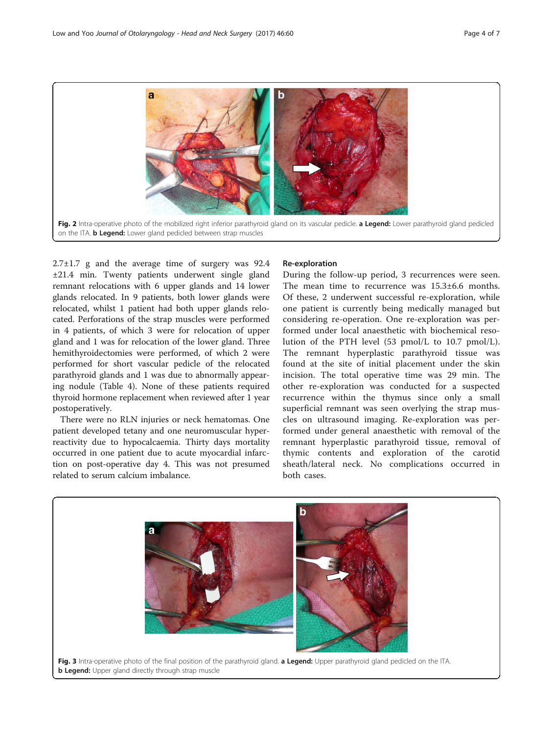<span id="page-3-0"></span>

2.7±1.7 g and the average time of surgery was 92.4 ±21.4 min. Twenty patients underwent single gland remnant relocations with 6 upper glands and 14 lower glands relocated. In 9 patients, both lower glands were relocated, whilst 1 patient had both upper glands relocated. Perforations of the strap muscles were performed in 4 patients, of which 3 were for relocation of upper gland and 1 was for relocation of the lower gland. Three hemithyroidectomies were performed, of which 2 were performed for short vascular pedicle of the relocated parathyroid glands and 1 was due to abnormally appearing nodule (Table [4](#page-4-0)). None of these patients required thyroid hormone replacement when reviewed after 1 year postoperatively.

There were no RLN injuries or neck hematomas. One patient developed tetany and one neuromuscular hyperreactivity due to hypocalcaemia. Thirty days mortality occurred in one patient due to acute myocardial infarction on post-operative day 4. This was not presumed related to serum calcium imbalance.

### Re-exploration

During the follow-up period, 3 recurrences were seen. The mean time to recurrence was 15.3±6.6 months. Of these, 2 underwent successful re-exploration, while one patient is currently being medically managed but considering re-operation. One re-exploration was performed under local anaesthetic with biochemical resolution of the PTH level (53 pmol/L to 10.7 pmol/L). The remnant hyperplastic parathyroid tissue was found at the site of initial placement under the skin incision. The total operative time was 29 min. The other re-exploration was conducted for a suspected recurrence within the thymus since only a small superficial remnant was seen overlying the strap muscles on ultrasound imaging. Re-exploration was performed under general anaesthetic with removal of the remnant hyperplastic parathyroid tissue, removal of thymic contents and exploration of the carotid sheath/lateral neck. No complications occurred in both cases.

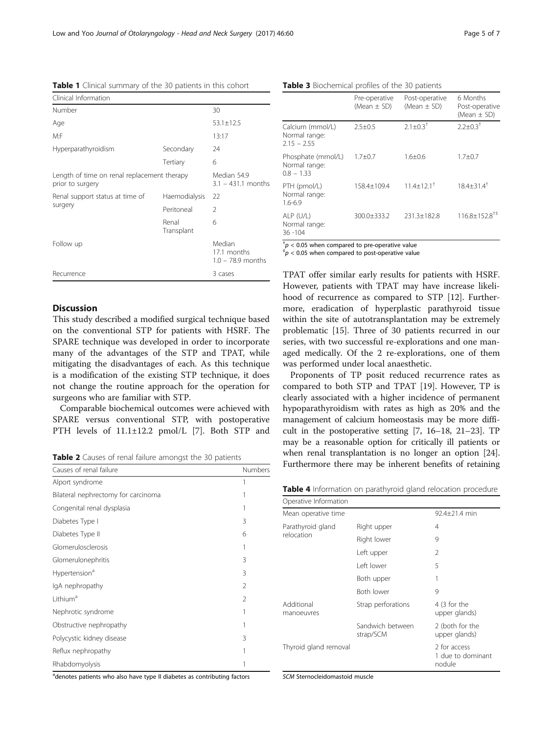**Discussion** This study described a modified surgical technique based on the conventional STP for patients with HSRF. The SPARE technique was developed in order to incorporate many of the advantages of the STP and TPAT, while mitigating the disadvantages of each. As this technique is a modification of the existing STP technique, it does not change the routine approach for the operation for surgeons who are familiar with STP.

Comparable biochemical outcomes were achieved with SPARE versus conventional STP, with postoperative PTH levels of 11.1±12.2 pmol/L [\[7](#page-5-0)]. Both STP and

Table 2 Causes of renal failure amongst the 30 patients

| Causes of renal failure             | Numbers        |
|-------------------------------------|----------------|
| Alport syndrome                     | 1              |
| Bilateral nephrectomy for carcinoma | 1              |
| Congenital renal dysplasia          | 1              |
| Diabetes Type I                     | 3              |
| Diabetes Type II                    | 6              |
| Glomerulosclerosis                  | 1              |
| Glomerulonephritis                  | 3              |
| Hypertension <sup>a</sup>           | 3              |
| IgA nephropathy                     | $\mathfrak{D}$ |
| Lithium <sup>a</sup>                | 2              |
| Nephrotic syndrome                  | 1              |
| Obstructive nephropathy             | 1              |
| Polycystic kidney disease           | 3              |
| Reflux nephropathy                  | 1              |
| Rhabdomyolysis                      | 1              |

<sup>a</sup>denotes patients who also have type II diabetes as contributing factors

<span id="page-4-0"></span>

Tertiary 6

Haemodialysis 22 Peritoneal 2

Renal **Transplant** 

Follow up **Median** Median

Recurrence 3 cases

Median 54.9 3.1 – 431.1 months

17.1 months 1.0 – 78.9 months

6

|  | Table 3 Biochemical profiles of the 30 patients |  |  |  |  |  |
|--|-------------------------------------------------|--|--|--|--|--|
|--|-------------------------------------------------|--|--|--|--|--|

|                                                     | Pre-operative<br>(Mean $\pm$ SD) | Post-operative<br>(Mean $\pm$ SD) | 6 Months<br>Post-operative<br>(Mean $\pm$ SD) |
|-----------------------------------------------------|----------------------------------|-----------------------------------|-----------------------------------------------|
| Calcium (mmol/L)<br>Normal range:<br>$2.15 - 2.55$  | $2.5 \pm 0.5$                    | $2.1 \pm 0.3$ <sup>†</sup>        | $2.2+0.3$ <sup>†</sup>                        |
| Phosphate (mmol/L)<br>Normal range:<br>$0.8 - 1.33$ | $1.7 + 0.7$                      | $1.6 \pm 0.6$                     | $1.7 + 0.7$                                   |
| PTH (pmol/L)<br>Normal range:<br>$1.6 - 6.9$        | 158.4±109.4                      | $11.4+12.1$ <sup>†</sup>          | $18.4 + 31.4$ <sup>†</sup>                    |
| ALP $(U/L)$<br>Normal range:<br>$36 - 104$          | 300.0±333.2                      | 231.3±182.8                       | $116.8 + 152.8$ <sup>†‡</sup>                 |

 $\frac{1}{p}$  < 0.05 when compared to pre-operative value

 $p \nmid p < 0.05$  when compared to post-operative value

TPAT offer similar early results for patients with HSRF. However, patients with TPAT may have increase likelihood of recurrence as compared to STP [\[12\]](#page-6-0). Furthermore, eradication of hyperplastic parathyroid tissue within the site of autotransplantation may be extremely problematic [\[15\]](#page-6-0). Three of 30 patients recurred in our series, with two successful re-explorations and one managed medically. Of the 2 re-explorations, one of them was performed under local anaesthetic.

Proponents of TP posit reduced recurrence rates as compared to both STP and TPAT [[19\]](#page-6-0). However, TP is clearly associated with a higher incidence of permanent hypoparathyroidism with rates as high as 20% and the management of calcium homeostasis may be more difficult in the postoperative setting [[7,](#page-5-0) [16](#page-6-0)–[18, 21](#page-6-0)–[23\]](#page-6-0). TP may be a reasonable option for critically ill patients or when renal transplantation is no longer an option [[24](#page-6-0)]. Furthermore there may be inherent benefits of retaining

Table 4 Information on parathyroid gland relocation procedure

| Operative Information           |                               |                                             |
|---------------------------------|-------------------------------|---------------------------------------------|
| Mean operative time             |                               | 92.4±21.4 min                               |
| Parathyroid gland<br>relocation | Right upper                   | 4                                           |
|                                 | Right lower                   | 9                                           |
|                                 | Left upper                    | $\mathfrak{D}$                              |
|                                 | I eft lower                   | 5                                           |
|                                 | Both upper                    |                                             |
|                                 | <b>Both lower</b>             | 9                                           |
| Additional<br>manoeuvres        | Strap perforations            | 4 (3 for the<br>upper glands)               |
|                                 | Sandwich between<br>strap/SCM | 2 (both for the<br>upper glands)            |
| Thyroid gland removal           |                               | 2 for access<br>1 due to dominant<br>nodule |

SCM Sternocleidomastoid muscle

Table 1 Clinical summary of the 30 patients in this cohort

Number 30 Age 53.1±12.5 M:F 13:17 Hyperparathyroidism Secondary 24

Length of time on renal replacement therapy

Clinical Information

prior to surgery

surgery

Renal support status at time of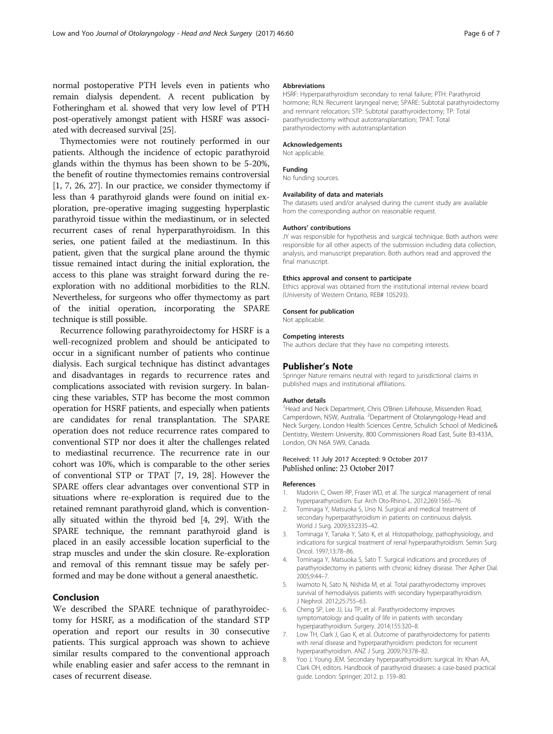<span id="page-5-0"></span>normal postoperative PTH levels even in patients who remain dialysis dependent. A recent publication by Fotheringham et al. showed that very low level of PTH post-operatively amongst patient with HSRF was associated with decreased survival [[25](#page-6-0)].

Thymectomies were not routinely performed in our patients. Although the incidence of ectopic parathyroid glands within the thymus has been shown to be 5-20%, the benefit of routine thymectomies remains controversial [1, 7, [26](#page-6-0), [27](#page-6-0)]. In our practice, we consider thymectomy if less than 4 parathyroid glands were found on initial exploration, pre-operative imaging suggesting hyperplastic parathyroid tissue within the mediastinum, or in selected recurrent cases of renal hyperparathyroidism. In this series, one patient failed at the mediastinum. In this patient, given that the surgical plane around the thymic tissue remained intact during the initial exploration, the access to this plane was straight forward during the reexploration with no additional morbidities to the RLN. Nevertheless, for surgeons who offer thymectomy as part of the initial operation, incorporating the SPARE technique is still possible.

Recurrence following parathyroidectomy for HSRF is a well-recognized problem and should be anticipated to occur in a significant number of patients who continue dialysis. Each surgical technique has distinct advantages and disadvantages in regards to recurrence rates and complications associated with revision surgery. In balancing these variables, STP has become the most common operation for HSRF patients, and especially when patients are candidates for renal transplantation. The SPARE operation does not reduce recurrence rates compared to conventional STP nor does it alter the challenges related to mediastinal recurrence. The recurrence rate in our cohort was 10%, which is comparable to the other series of conventional STP or TPAT [7, [19, 28\]](#page-6-0). However the SPARE offers clear advantages over conventional STP in situations where re-exploration is required due to the retained remnant parathyroid gland, which is conventionally situated within the thyroid bed [4, [29](#page-6-0)]. With the SPARE technique, the remnant parathyroid gland is placed in an easily accessible location superficial to the strap muscles and under the skin closure. Re-exploration and removal of this remnant tissue may be safely performed and may be done without a general anaesthetic.

### Conclusion

We described the SPARE technique of parathyroidectomy for HSRF, as a modification of the standard STP operation and report our results in 30 consecutive patients. This surgical approach was shown to achieve similar results compared to the conventional approach while enabling easier and safer access to the remnant in cases of recurrent disease.

### Abbreviations

HSRF: Hyperparathyroidism secondary to renal failure; PTH: Parathyroid hormone; RLN: Recurrent laryngeal nerve; SPARE: Subtotal parathyroidectomy and remnant relocation; STP: Subtotal parathyroidectomy; TP: Total parathyroidectomy without autotransplantation; TPAT: Total parathyroidectomy with autotransplantation

### Acknowledgements

Not applicable.

#### Funding

No funding sources.

#### Availability of data and materials

The datasets used and/or analysed during the current study are available from the corresponding author on reasonable request.

#### Authors' contributions

JY was responsible for hypothesis and surgical technique. Both authors were responsible for all other aspects of the submission including data collection, analysis, and manuscript preparation. Both authors read and approved the final manuscript.

#### Ethics approval and consent to participate

Ethics approval was obtained from the institutional internal review board (University of Western Ontario, REB# 105293).

#### Consent for publication

Not applicable.

#### Competing interests

The authors declare that they have no competing interests.

#### Publisher's Note

Springer Nature remains neutral with regard to jurisdictional claims in published maps and institutional affiliations.

#### Author details

<sup>1</sup>Head and Neck Department, Chris O'Brien Lifehouse, Missenden Road Camperdown, NSW, Australia. <sup>2</sup>Department of Otolaryngology-Head and Neck Surgery, London Health Sciences Centre, Schulich School of Medicine& Dentistry, Western University, 800 Commissioners Road East, Suite B3-433A, London, ON N6A 5W9, Canada.

### Received: 11 July 2017 Accepted: 9 October 2017 Published online: 23 October 2017

#### References

- 1. Madorin C, Owen RP, Fraser WD, et al. The surgical management of renal hyperparathyroidism. Eur Arch Oto-Rhino-L. 2012;269:1565–76.
- 2. Tominaga Y, Matsuoka S, Uno N. Surgical and medical treatment of secondary hyperparathyroidism in patients on continuous dialysis. World J Surg. 2009;33:2335–42.
- 3. Tominaga Y, Tanaka Y, Sato K, et al. Histopathology, pathophysiology, and indications for surgical treatment of renal hyperparathyroidism. Semin Surg Oncol. 1997;13:78–86.
- 4. Tominaga Y, Matsuoka S, Sato T. Surgical indications and procedures of parathyroidectomy in patients with chronic kidney disease. Ther Apher Dial. 2005;9:44–7.
- 5. Iwamoto N, Sato N, Nishida M, et al. Total parathyroidectomy improves survival of hemodialysis patients with secondary hyperparathyroidism. J Nephrol. 2012;25:755–63.
- 6. Cheng SP, Lee JJ, Liu TP, et al. Parathyroidectomy improves symptomatology and quality of life in patients with secondary hyperparathyroidism. Surgery. 2014;155:320–8.
- 7. Low TH, Clark J, Gao K, et al. Outcome of parathyroidectomy for patients with renal disease and hyperparathyroidism: predictors for recurrent hyperparathyroidism. ANZ J Surg. 2009;79:378–82.
- 8. Yoo J, Young JEM. Secondary hyperparathyroidism: surgical. In: Khan AA, Clark OH, editors. Handbook of parathyroid diseases: a case-based practical guide. London: Springer; 2012. p. 159–80.